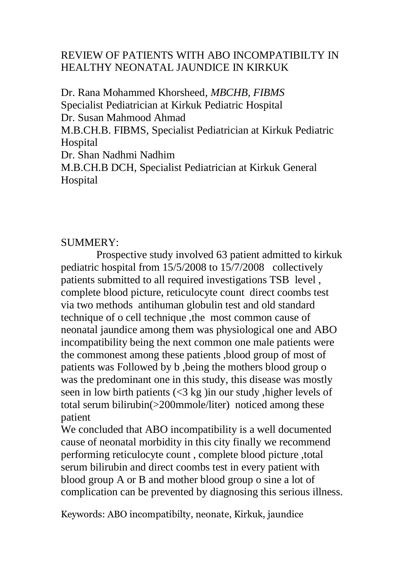### REVIEW OF PATIENTS WITH ABO INCOMPATIBILTY IN HEALTHY NEONATAL JAUNDICE IN KIRKUK

Dr. Rana Mohammed Khorsheed*, MBCHB, FIBMS* Specialist Pediatrician at Kirkuk Pediatric Hospital Dr. Susan Mahmood Ahmad M.B.CH.B. FIBMS, Specialist Pediatrician at Kirkuk Pediatric Hospital Dr. Shan Nadhmi Nadhim M.B.CH.B DCH, Specialist Pediatrician at Kirkuk General Hospital

#### SUMMERY:

 Prospective study involved 63 patient admitted to kirkuk pediatric hospital from 15/5/2008 to 15/7/2008 collectively patients submitted to all required investigations TSB level , complete blood picture, reticulocyte count direct coombs test via two methods antihuman globulin test and old standard technique of o cell technique ,the most common cause of neonatal jaundice among them was physiological one and ABO incompatibility being the next common one male patients were the commonest among these patients ,blood group of most of patients was Followed by b ,being the mothers blood group o was the predominant one in this study, this disease was mostly seen in low birth patients (<3 kg )in our study ,higher levels of total serum bilirubin(>200mmole/liter) noticed among these patient

We concluded that ABO incompatibility is a well documented cause of neonatal morbidity in this city finally we recommend performing reticulocyte count , complete blood picture ,total serum bilirubin and direct coombs test in every patient with blood group A or B and mother blood group o sine a lot of complication can be prevented by diagnosing this serious illness.

Keywords: ABO incompatibilty, neonate, Kirkuk, jaundice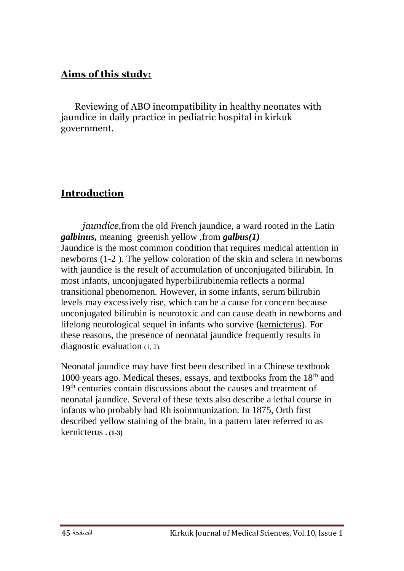#### **Aims of this study:**

 Reviewing of ABO incompatibility in healthy neonates with jaundice in daily practice in pediatric hospital in kirkuk government.

#### **Introduction**

*<u>iaundice</u>*, from the old French jaundice, a ward rooted in the Latin *galbinus,* meaning greenish yellow ,from *galbus(1)* Jaundice is the most common condition that requires medical attention in newborns (1-2 ). The yellow coloration of the skin and sclera in newborns with jaundice is the result of accumulation of unconjugated bilirubin. In most infants, unconjugated hyperbilirubinemia reflects a normal transitional phenomenon. However, in some infants, serum bilirubin levels may excessively rise, which can be a cause for concern because unconjugated bilirubin is neurotoxic and can cause death in newborns and lifelong neurological sequel in infants who survive [\(kernicterus\)](http://www.emedicine.com/ped/topic1247.htm). For these reasons, the presence of neonatal jaundice frequently results in diagnostic evaluation (1, 2).

Neonatal jaundice may have first been described in a Chinese textbook 1000 years ago. Medical theses, essays, and textbooks from the  $18<sup>th</sup>$  and 19<sup>th</sup> centuries contain discussions about the causes and treatment of neonatal jaundice. Several of these texts also describe a lethal course in infants who probably had Rh isoimmunization. In 1875, Orth first described yellow staining of the brain, in a pattern later referred to as kernicterus **. (1-3)**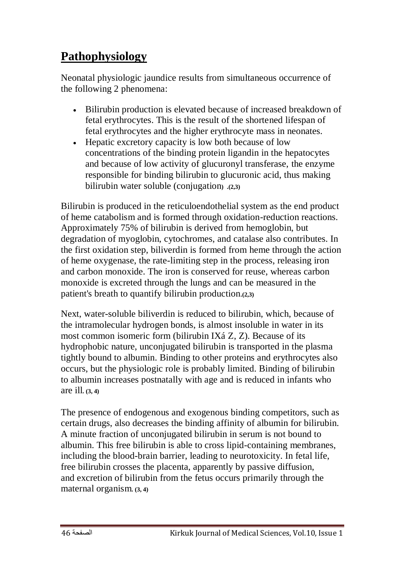## **Pathophysiology**

Neonatal physiologic jaundice results from simultaneous occurrence of the following 2 phenomena:

- Bilirubin production is elevated because of increased breakdown of fetal erythrocytes. This is the result of the shortened lifespan of fetal erythrocytes and the higher erythrocyte mass in neonates.
- Hepatic excretory capacity is low both because of low concentrations of the binding protein ligandin in the hepatocytes and because of low activity of glucuronyl transferase, the enzyme responsible for binding bilirubin to glucuronic acid, thus making bilirubin water soluble (conjugation**) .(2,3)**

Bilirubin is produced in the reticuloendothelial system as the end product of heme catabolism and is formed through oxidation-reduction reactions. Approximately 75% of bilirubin is derived from hemoglobin, but degradation of myoglobin, cytochromes, and catalase also contributes. In the first oxidation step, biliverdin is formed from heme through the action of heme oxygenase, the rate-limiting step in the process, releasing iron and carbon monoxide. The iron is conserved for reuse, whereas carbon monoxide is excreted through the lungs and can be measured in the patient's breath to quantify bilirubin production**.(2,3)**

Next, water-soluble biliverdin is reduced to bilirubin, which, because of the intramolecular hydrogen bonds, is almost insoluble in water in its most common isomeric form (bilirubin IXá Z, Z). Because of its hydrophobic nature, unconjugated bilirubin is transported in the plasma tightly bound to albumin. Binding to other proteins and erythrocytes also occurs, but the physiologic role is probably limited. Binding of bilirubin to albumin increases postnatally with age and is reduced in infants who are ill**. (3, 4)**

The presence of endogenous and exogenous binding competitors, such as certain drugs, also decreases the binding affinity of albumin for bilirubin. A minute fraction of unconjugated bilirubin in serum is not bound to albumin. This free bilirubin is able to cross lipid-containing membranes, including the blood-brain barrier, leading to neurotoxicity. In fetal life, free bilirubin crosses the placenta, apparently by passive diffusion, and excretion of bilirubin from the fetus occurs primarily through the maternal organism**. (3, 4)**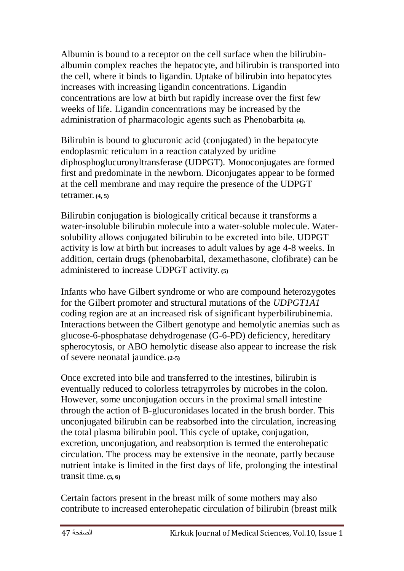Albumin is bound to a receptor on the cell surface when the bilirubinalbumin complex reaches the hepatocyte, and bilirubin is transported into the cell, where it binds to ligandin. Uptake of bilirubin into hepatocytes increases with increasing ligandin concentrations. Ligandin concentrations are low at birth but rapidly increase over the first few weeks of life. Ligandin concentrations may be increased by the administration of pharmacologic agents such as Phenobarbita **(4).**

Bilirubin is bound to glucuronic acid (conjugated) in the hepatocyte endoplasmic reticulum in a reaction catalyzed by uridine diphosphoglucuronyltransferase (UDPGT). Monoconjugates are formed first and predominate in the newborn. Diconjugates appear to be formed at the cell membrane and may require the presence of the UDPGT tetramer**. (4, 5)**

Bilirubin conjugation is biologically critical because it transforms a water-insoluble bilirubin molecule into a water-soluble molecule. Watersolubility allows conjugated bilirubin to be excreted into bile. UDPGT activity is low at birth but increases to adult values by age 4-8 weeks. In addition, certain drugs (phenobarbital, dexamethasone, clofibrate) can be administered to increase UDPGT activity**. (5)** 

Infants who have Gilbert syndrome or who are compound heterozygotes for the Gilbert promoter and structural mutations of the *UDPGT1A1* coding region are at an increased risk of significant hyperbilirubinemia. Interactions between the Gilbert genotype and hemolytic anemias such as glucose-6-phosphatase dehydrogenase (G-6-PD) deficiency, hereditary spherocytosis, or ABO hemolytic disease also appear to increase the risk of severe neonatal jaundice**. (2-5)**

Once excreted into bile and transferred to the intestines, bilirubin is eventually reduced to colorless tetrapyrroles by microbes in the colon. However, some unconjugation occurs in the proximal small intestine through the action of B-glucuronidases located in the brush border. This unconjugated bilirubin can be reabsorbed into the circulation, increasing the total plasma bilirubin pool. This cycle of uptake, conjugation, excretion, unconjugation, and reabsorption is termed the enterohepatic circulation. The process may be extensive in the neonate, partly because nutrient intake is limited in the first days of life, prolonging the intestinal transit time**. (5, 6)**

Certain factors present in the breast milk of some mothers may also contribute to increased enterohepatic circulation of bilirubin (breast milk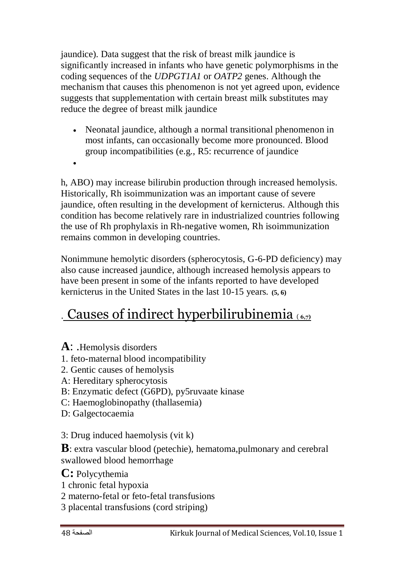jaundice). Data suggest that the risk of breast milk jaundice is significantly increased in infants who have genetic polymorphisms in the coding sequences of the *UDPGT1A1* or *OATP2* genes. Although the mechanism that causes this phenomenon is not yet agreed upon, evidence suggests that supplementation with certain breast milk substitutes may reduce the degree of breast milk jaundice

- Neonatal jaundice, although a normal transitional phenomenon in most infants, can occasionally become more pronounced. Blood group incompatibilities (e.g., R5: recurrence of jaundice
- $\bullet$

h, ABO) may increase bilirubin production through increased hemolysis. Historically, Rh isoimmunization was an important cause of severe jaundice, often resulting in the development of kernicterus. Although this condition has become relatively rare in industrialized countries following the use of Rh prophylaxis in Rh-negative women, Rh isoimmunization remains common in developing countries.

Nonimmune hemolytic disorders (spherocytosis, G-6-PD deficiency) may also cause increased jaundice, although increased hemolysis appears to have been present in some of the infants reported to have developed kernicterus in the United States in the last 10-15 years**. (5, 6)**

# . Causes of indirect hyperbilirubinemia ( **6,7)**

- **A**: .Hemolysis disorders
- 1. feto-maternal blood incompatibility
- 2. Gentic causes of hemolysis
- A: Hereditary spherocytosis
- B: Enzymatic defect (G6PD), py5ruvaate kinase
- C: Haemoglobinopathy (thallasemia)
- D: Galgectocaemia
- 3: Drug induced haemolysis (vit k)

**B**: extra vascular blood (petechie), hematoma, pulmonary and cerebral swallowed blood hemorrhage

- **C:** Polycythemia
- 1 chronic fetal hypoxia
- 2 materno-fetal or feto-fetal transfusions
- 3 placental transfusions (cord striping)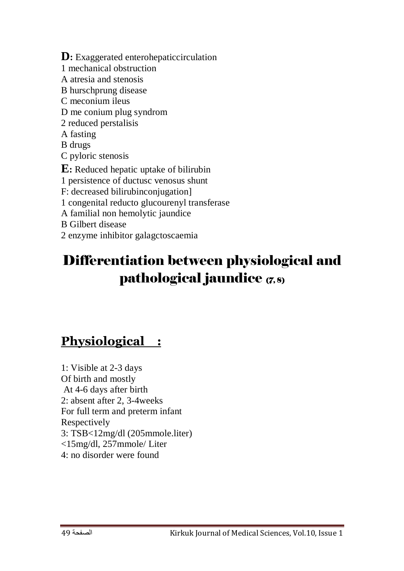**D**: Exaggerated enterohepaticcirculation 1 mechanical obstruction A atresia and stenosis B hurschprung disease C meconium ileus D me conium plug syndrom 2 reduced perstalisis A fasting B drugs C pyloric stenosis **E:** Reduced hepatic uptake of bilirubin 1 persistence of ductusc venosus shunt F: decreased bilirubinconjugation] 1 congenital reducto glucourenyl transferase A familial non hemolytic jaundice B Gilbert disease 2 enzyme inhibitor galagctoscaemia

# Differentiation between physiological and pathological jaundice (7,8)

## **Physiological :**

1: Visible at 2-3 days Of birth and mostly At 4-6 days after birth 2: absent after 2, 3-4weeks For full term and preterm infant Respectively 3: TSB<12mg/dl (205mmole.liter) <15mg/dl, 257mmole/ Liter 4: no disorder were found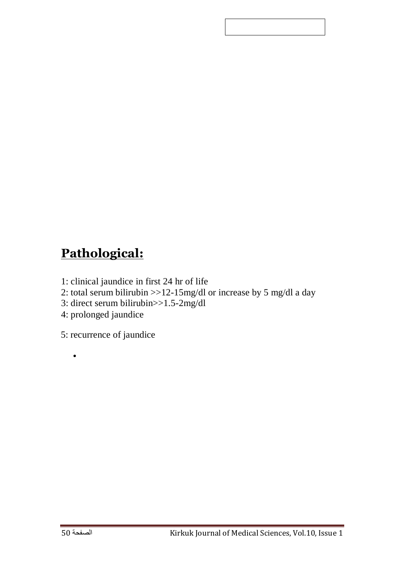# **Pathological:**

- 1: clinical jaundice in first 24 hr of life
- 2: total serum bilirubin >>12-15mg/dl or increase by 5 mg/dl a day
- 3: direct serum bilirubin>>1.5-2mg/dl
- 4: prolonged jaundice

5: recurrence of jaundice

 $\bullet$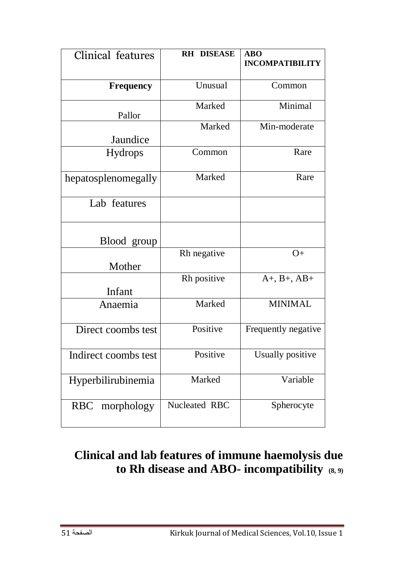| Clinical features    | <b>RH DISEASE</b> | <b>ABO</b><br><b>INCOMPATIBILITY</b> |
|----------------------|-------------------|--------------------------------------|
|                      |                   |                                      |
| <b>Frequency</b>     | Unusual           | Common                               |
|                      | Marked            | Minimal                              |
| Pallor               |                   |                                      |
|                      | Marked            | Min-moderate                         |
| Jaundice             |                   |                                      |
| <b>Hydrops</b>       | Common            | Rare                                 |
| hepatosplenomegally  | Marked            | Rare                                 |
| Lab features         |                   |                                      |
| Blood group          |                   |                                      |
|                      | Rh negative       | $O+$                                 |
| Mother               |                   |                                      |
|                      | Rh positive       | $A+, B+, AB+$                        |
| Infant               |                   |                                      |
| Anaemia              | Marked            | <b>MINIMAL</b>                       |
| Direct coombs test   | Positive          | Frequently negative                  |
| Indirect coombs test | Positive          | <b>Usually positive</b>              |
| Hyperbilirubinemia   | Marked            | Variable                             |
| RBC morphology       | Nucleated RBC     | Spherocyte                           |

## **Clinical and lab features of immune haemolysis due to Rh disease and ABO- incompatibility (8, 9)**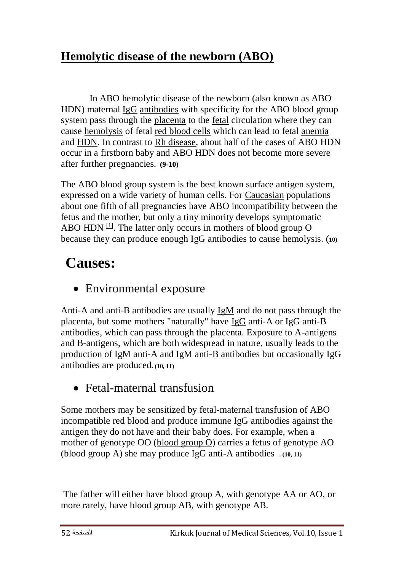## **Hemolytic disease of the newborn (ABO)**

 In ABO hemolytic disease of the newborn (also known as ABO HDN) maternal [IgG](http://en.wikipedia.org/wiki/IgG) [antibodies](http://en.wikipedia.org/wiki/Antibodies) with specificity for the ABO blood group [system](http://en.wikipedia.org/wiki/ABO_blood_group_system) pass through the [placenta](http://en.wikipedia.org/wiki/Placenta) to the [fetal](http://en.wikipedia.org/wiki/Fetal) circulation where they can cause [hemolysis](http://en.wikipedia.org/wiki/Hemolysis) of fetal [red blood cells](http://en.wikipedia.org/wiki/Red_blood_cells) which can lead to fetal [anemia](http://en.wikipedia.org/wiki/Anemia) and [HDN.](http://en.wikipedia.org/wiki/HDN) In contrast to [Rh disease,](http://en.wikipedia.org/wiki/Rh_disease) about half of the cases of ABO HDN occur in a firstborn baby and ABO HDN does not become more severe after further pregnancies**. (9-10)**

The ABO blood group system is the best known surface antigen system, expressed on a wide variety of human cells. For [Caucasian](http://en.wikipedia.org/wiki/Caucasian_race) populations about one fifth of all pregnancies have ABO incompatibility between the fetus and the mother, but only a tiny minority develops symptomatic ABO HDN  $\mathbb{H}$ . The latter only occurs in mothers of blood group O because they can produce enough IgG antibodies to cause hemolysis. (**10)**

# **Causes:**

Environmental exposure

Anti-A and anti-B antibodies are usually [IgM](http://en.wikipedia.org/wiki/IgM) and do not pass through the placenta, but some mothers "naturally" have [IgG](http://en.wikipedia.org/wiki/IgG) anti-A or IgG anti-B antibodies, which can pass through the placenta. Exposure to A-antigens and B-antigens, which are both widespread in nature, usually leads to the production of IgM anti-A and IgM anti-B antibodies but occasionally IgG antibodies are produced**. (10, 11)**

• Fetal-maternal transfusion

Some mothers may be sensitized by fetal-maternal transfusion of ABO incompatible red blood and produce immune IgG antibodies against the antigen they do not have and their baby does. For example, when a mother of genotype OO [\(blood group O\)](http://en.wikipedia.org/wiki/ABO_blood_group_system) carries a fetus of genotype AO (blood group A) she may produce IgG anti-A antibodies **. (10, 11)**

The father will either have blood group A, with genotype AA or AO, or more rarely, have blood group AB, with genotype AB.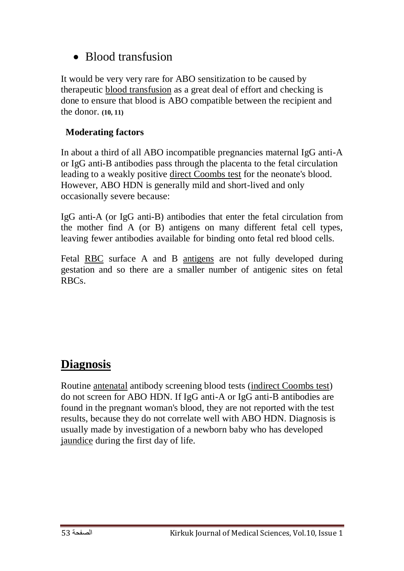### • Blood transfusion

It would be very very rare for ABO sensitization to be caused by therapeutic [blood transfusion](http://en.wikipedia.org/wiki/Blood_transfusion) as a great deal of effort and checking is done to ensure that blood is ABO compatible between the recipient and the donor. **(10, 11)**

#### **Moderating factors**

In about a third of all ABO incompatible pregnancies maternal IgG anti-A or IgG anti-B antibodies pass through the placenta to the fetal circulation leading to a weakly positive [direct Coombs test](http://en.wikipedia.org/wiki/Coombs_test#direct_Coombs) for the neonate's blood. However, ABO HDN is generally mild and short-lived and only occasionally severe because:

IgG anti-A (or IgG anti-B) antibodies that enter the fetal circulation from the mother find A (or B) antigens on many different fetal cell types, leaving fewer antibodies available for binding onto fetal red blood cells.

Fetal [RBC](http://en.wikipedia.org/wiki/Red_blood_cell) surface A and B [antigens](http://en.wikipedia.org/wiki/Antigens) are not fully developed during gestation and so there are a smaller number of antigenic sites on fetal RBCs.

### **Diagnosis**

Routine [antenatal](http://en.wikipedia.org/wiki/Obstetrics) antibody screening blood tests [\(indirect Coombs test\)](http://en.wikipedia.org/wiki/Coombs_test#indirect_Coombs_test) do not screen for ABO HDN. If IgG anti-A or IgG anti-B antibodies are found in the pregnant woman's blood, they are not reported with the test results, because they do not correlate well with ABO HDN. Diagnosis is usually made by investigation of a newborn baby who has developed [jaundice](http://en.wikipedia.org/wiki/Jaundice) during the first day of life.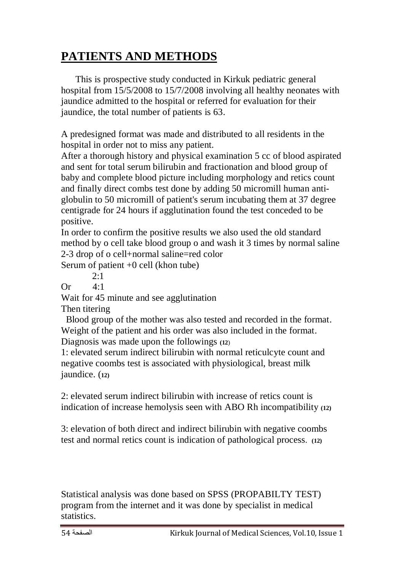# **PATIENTS AND METHODS**

 This is prospective study conducted in Kirkuk pediatric general hospital from 15/5/2008 to 15/7/2008 involving all healthy neonates with jaundice admitted to the hospital or referred for evaluation for their jaundice, the total number of patients is 63.

A predesigned format was made and distributed to all residents in the hospital in order not to miss any patient.

After a thorough history and physical examination 5 cc of blood aspirated and sent for total serum bilirubin and fractionation and blood group of baby and complete blood picture including morphology and retics count and finally direct combs test done by adding 50 micromill human antiglobulin to 50 micromill of patient's serum incubating them at 37 degree centigrade for 24 hours if agglutination found the test conceded to be positive.

In order to confirm the positive results we also used the old standard method by o cell take blood group o and wash it 3 times by normal saline 2-3 drop of o cell+normal saline=red color

Serum of patient +0 cell (khon tube)

 $2.1$ 

 $Or \t4.1$ 

Wait for 45 minute and see agglutination

Then titering

 Blood group of the mother was also tested and recorded in the format. Weight of the patient and his order was also included in the format. Diagnosis was made upon the followings **(12**)

1: elevated serum indirect bilirubin with normal reticulcyte count and negative coombs test is associated with physiological, breast milk jaundice. (**12)**

2: elevated serum indirect bilirubin with increase of retics count is indication of increase hemolysis seen with ABO Rh incompatibility **(12)**

3: elevation of both direct and indirect bilirubin with negative coombs test and normal retics count is indication of pathological process**. (12)**

Statistical analysis was done based on SPSS (PROPABILTY TEST) program from the internet and it was done by specialist in medical statistics.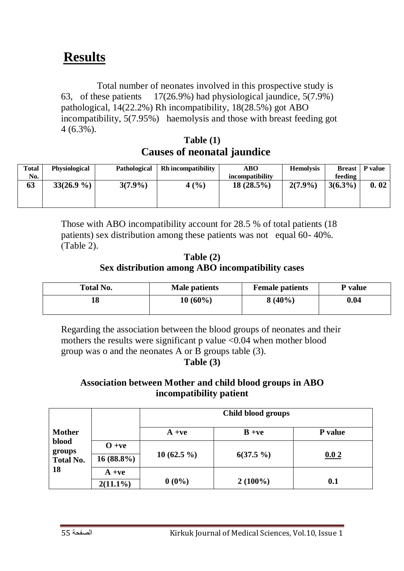# **Results**

 Total number of neonates involved in this prospective study is 63, of these patients 17(26.9%) had physiological jaundice, 5(7.9%) pathological, 14(22.2%) Rh incompatibility, 18(28.5%) got ABO incompatibility, 5(7.95%) haemolysis and those with breast feeding got 4 (6.3%).

**Table (1) Causes of neonatal jaundice**

| Total | <b>Physiological</b> | Pathological | <b>Rh</b> incompatibility | <b>ABO</b>      | <b>Hemolysis</b> | <b>Breast</b> | P value |
|-------|----------------------|--------------|---------------------------|-----------------|------------------|---------------|---------|
| No.   |                      |              |                           | incompatibility |                  | feeding       |         |
| 63    | $33(26.9\%)$         | $3(7.9\%)$   | 4(%)                      | $18(28.5\%)$    | $2(7.9\%)$       | $3(6.3\%)$    | 0.02    |
|       |                      |              |                           |                 |                  |               |         |
|       |                      |              |                           |                 |                  |               |         |

Those with ABO incompatibility account for 28.5 % of total patients (18 patients) sex distribution among these patients was not equal 60- 40%.  $(Table 2).$ 

#### **Table (2) Sex distribution among ABO incompatibility cases**

| <b>Total No.</b> | Male patients | <b>Female patients</b> | P value |
|------------------|---------------|------------------------|---------|
| 18               | $10(60\%)$    | $8(40\%)$              | 0.04    |

Regarding the association between the blood groups of neonates and their mothers the results were significant  $p$  value  $\langle 0.04 \rangle$  when mother blood group was o and the neonates A or B groups table (3).

**Table (3)**

#### **Association between Mother and child blood groups in ABO incompatibility patient**

|                                     |                          | Child blood groups |             |                |
|-------------------------------------|--------------------------|--------------------|-------------|----------------|
| <b>Mother</b>                       |                          | $A + ve$           | $B + ve$    | <b>P</b> value |
| blood<br>groups<br><b>Total No.</b> | $O + ve$<br>$16(88.8\%)$ | $10(62.5\%)$       | $6(37.5\%)$ | 0.02           |
| 18                                  | $A + ve$<br>$2(11.1\%)$  | $0(0\%)$           | $2(100\%)$  | 0.1            |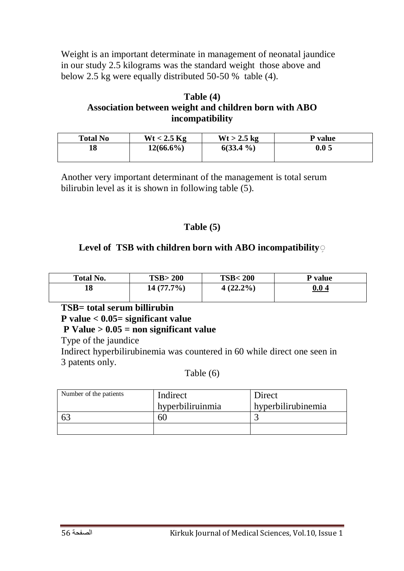Weight is an important determinate in management of neonatal jaundice in our study 2.5 kilograms was the standard weight those above and below 2.5 kg were equally distributed 50-50 % table (4).

#### **Table (4) Association between weight and children born with ABO incompatibility**

| <b>Total No</b> | $Wt < 2.5$ Kg | $Wt > 2.5$ kg | <b>P</b> value |
|-----------------|---------------|---------------|----------------|
| 18              | $12(66.6\%)$  | $6(33.4\%)$   | 0.05           |
|                 |               |               |                |

Another very important determinant of the management is total serum bilirubin level as it is shown in following table (5).

#### **Table (5)**

#### Level of TSB with children born with ABO incompatibility

| <b>Total No.</b> | TSB > 200    | <b>TSB&lt;200</b> | P value |
|------------------|--------------|-------------------|---------|
| 18               | $14(77.7\%)$ | $4(22.2\%)$       | 0.04    |

#### **TSB= total serum billirubin P value < 0.05= significant value P Value > 0.05 = non significant value**

Type of the jaundice

Indirect hyperbilirubinemia was countered in 60 while direct one seen in 3 patents only.

Table (6)

| Number of the patients | Indirect         | Direct             |
|------------------------|------------------|--------------------|
|                        | hyperbiliruinmia | hyperbilirubinemia |
|                        |                  |                    |
|                        |                  |                    |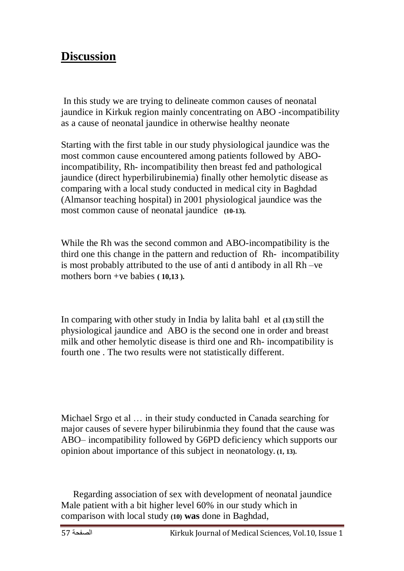### **Discussion**

In this study we are trying to delineate common causes of neonatal jaundice in Kirkuk region mainly concentrating on ABO -incompatibility as a cause of neonatal jaundice in otherwise healthy neonate

Starting with the first table in our study physiological jaundice was the most common cause encountered among patients followed by ABOincompatibility, Rh- incompatibility then breast fed and pathological jaundice (direct hyperbilirubinemia) finally other hemolytic disease as comparing with a local study conducted in medical city in Baghdad (Almansor teaching hospital) in 2001 physiological jaundice was the most common cause of neonatal jaundice **(10-13).**

While the Rh was the second common and ABO-incompatibility is the third one this change in the pattern and reduction of Rh- incompatibility is most probably attributed to the use of anti d antibody in all Rh –ve mothers born +ve babies **( 10,13 ).**

In comparing with other study in India by lalita bahl et al **(13)** still the physiological jaundice and ABO is the second one in order and breast milk and other hemolytic disease is third one and Rh- incompatibility is fourth one . The two results were not statistically different.

Michael Srgo et al … in their study conducted in Canada searching for major causes of severe hyper bilirubinmia they found that the cause was ABO– incompatibility followed by G6PD deficiency which supports our opinion about importance of this subject in neonatology**. (1, 13).**

 Regarding association of sex with development of neonatal jaundice Male patient with a bit higher level 60% in our study which in comparison with local study **(10) was** done in Baghdad,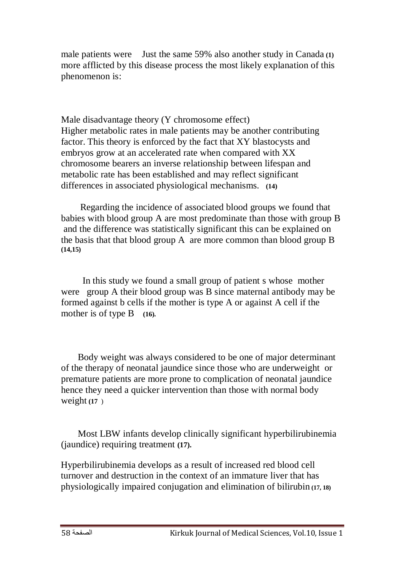male patients were Just the same 59% also another study in Canada **(1)** more afflicted by this disease process the most likely explanation of this phenomenon is:

 Male disadvantage theory (Y chromosome effect) Higher metabolic rates in male patients may be another contributing factor. This theory is enforced by the fact that XY blastocysts and embryos grow at an accelerated rate when compared with XX chromosome bearers an inverse relationship between lifespan and metabolic rate has been established and may reflect significant differences in associated physiological mechanisms**. (14)**

 Regarding the incidence of associated blood groups we found that babies with blood group A are most predominate than those with group B and the difference was statistically significant this can be explained on the basis that that blood group A are more common than blood group B **(14,15)**

 In this study we found a small group of patient s whose mother were group A their blood group was B since maternal antibody may be formed against b cells if the mother is type A or against A cell if the mother is of type B (16).

 Body weight was always considered to be one of major determinant of the therapy of neonatal jaundice since those who are underweight or premature patients are more prone to complication of neonatal jaundice hence they need a quicker intervention than those with normal body weight **(17** )

 Most LBW infants develop clinically significant hyperbilirubinemia (jaundice) requiring treatment **(17).**

Hyperbilirubinemia develops as a result of increased red blood cell turnover and destruction in the context of an immature liver that has physiologically impaired conjugation and elimination of bilirubin **(17, 18)**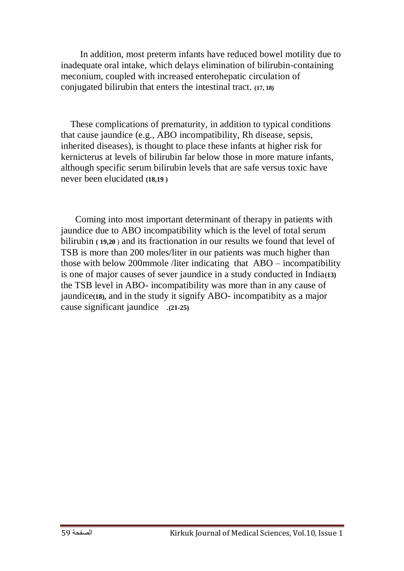In addition, most preterm infants have reduced bowel motility due to inadequate oral intake, which delays elimination of bilirubin-containing meconium, coupled with increased enterohepatic circulation of conjugated bilirubin that enters the intestinal tract. **(17, 18)**

 These complications of prematurity, in addition to typical conditions that cause jaundice (e.g., ABO incompatibility, Rh disease, sepsis, inherited diseases), is thought to place these infants at higher risk for kernicterus at levels of bilirubin far below those in more mature infants, although specific serum bilirubin levels that are safe versus toxic have never been elucidated **(18,19 )**

 Coming into most important determinant of therapy in patients with jaundice due to ABO incompatibility which is the level of total serum bilirubin **( 19,20** ) and its fractionation in our results we found that level of TSB is more than 200 moles/liter in our patients was much higher than those with below 200mmole /liter indicating that ABO – incompatibility is one of major causes of sever jaundice in a study conducted in India**(13)** the TSB level in ABO- incompatibility was more than in any cause of jaundice**(18),** and in the study it signify ABO- incompatibity as a major cause significant jaundice .**(21-25)**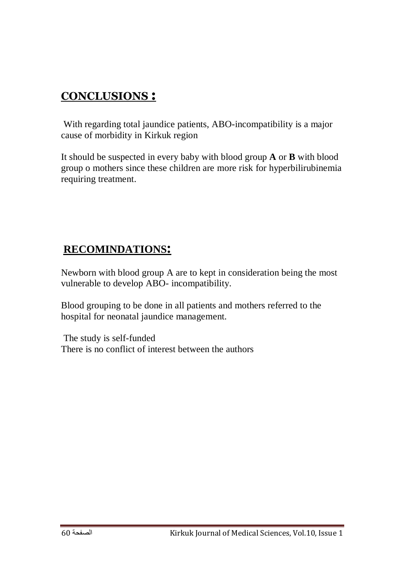### **CONCLUSIONS :**

With regarding total jaundice patients, ABO-incompatibility is a major cause of morbidity in Kirkuk region

It should be suspected in every baby with blood group **A** or **B** with blood group o mothers since these children are more risk for hyperbilirubinemia requiring treatment.

### **RECOMINDATIONS:**

Newborn with blood group A are to kept in consideration being the most vulnerable to develop ABO- incompatibility.

Blood grouping to be done in all patients and mothers referred to the hospital for neonatal jaundice management.

The study is self-funded There is no conflict of interest between the authors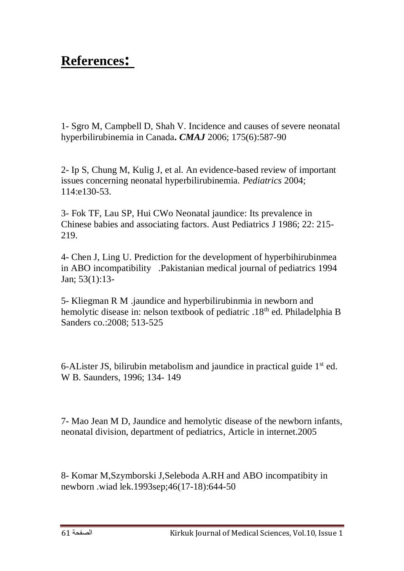## **References:**

1- Sgro M, Campbell D, Shah V. Incidence and causes of severe neonatal hyperbilirubinemia in Canada**.** *CMAJ* 2006; 175(6):587-90

2- Ip S, Chung M, Kulig J, et al. An evidence-based review of important issues concerning neonatal hyperbilirubinemia. *Pediatrics* 2004; 114:e130-53.

3- Fok TF, Lau SP, Hui CWo Neonatal jaundice: Its prevalence in Chinese babies and associating factors. Aust Pediatrics J 1986; 22: 215- 219.

4- Chen J, Ling U. Prediction for the development of hyperbihirubinmea in ABO incompatibility .Pakistanian medical journal of pediatrics 1994 Jan; 53(1):13-

5- Kliegman R M .jaundice and hyperbilirubinmia in newborn and hemolytic disease in: nelson textbook of pediatric .18<sup>th</sup> ed. Philadelphia B Sanders co.:2008; 513-525

6-ALister JS, bilirubin metabolism and jaundice in practical guide  $1<sup>st</sup>$  ed. W B. Saunders, 1996; 134- 149

7- Mao Jean M D, Jaundice and hemolytic disease of the newborn infants, neonatal division, department of pediatrics, Article in internet.2005

8- Komar M,Szymborski J,Seleboda A.RH and ABO incompatibity in newborn .wiad lek.1993sep;46(17-18):644-50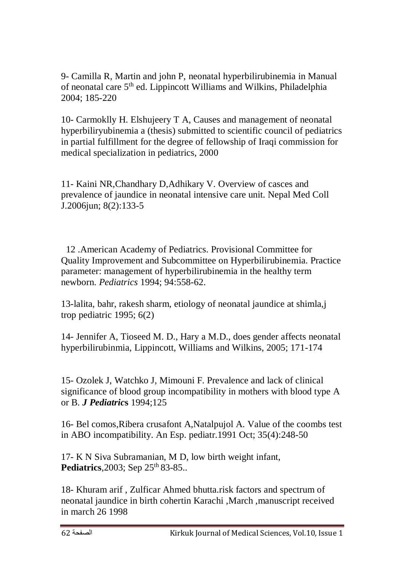9- Camilla R, Martin and john P, neonatal hyperbilirubinemia in Manual of neonatal care  $5<sup>th</sup>$  ed. Lippincott Williams and Wilkins, Philadelphia 2004; 185-220

10- Carmoklly H. Elshujeery T A, Causes and management of neonatal hyperbiliryubinemia a (thesis) submitted to scientific council of pediatrics in partial fulfillment for the degree of fellowship of Iraqi commission for medical specialization in pediatrics, 2000

11- Kaini NR,Chandhary D,Adhikary V. Overview of casces and prevalence of jaundice in neonatal intensive care unit. Nepal Med Coll J.2006jun; 8(2):133-5

 12 .American Academy of Pediatrics. Provisional Committee for Quality Improvement and Subcommittee on Hyperbilirubinemia. Practice parameter: management of hyperbilirubinemia in the healthy term newborn. *Pediatrics* 1994; 94:558-62.

13-lalita, bahr, rakesh sharm, etiology of neonatal jaundice at shimla,j trop pediatric 1995; 6(2)

14- Jennifer A, Tioseed M. D., Hary a M.D., does gender affects neonatal hyperbilirubinmia, Lippincott, Williams and Wilkins, 2005; 171-174

15- Ozolek J, Watchko J, Mimouni F. Prevalence and lack of clinical significance of blood group incompatibility in mothers with blood type A or B. *J Pediatric***s** 1994;125

16- Bel comos,Ribera crusafont A,Natalpujol A. Value of the coombs test in ABO incompatibility. An Esp. pediatr.1991 Oct; 35(4):248-50

17- K N Siva Subramanian, M D, low birth weight infant, Pediatrics, 2003; Sep 25<sup>th</sup> 83-85..

18- Khuram arif , Zulficar Ahmed bhutta.risk factors and spectrum of neonatal jaundice in birth cohertin Karachi ,March ,manuscript received in march 26 1998